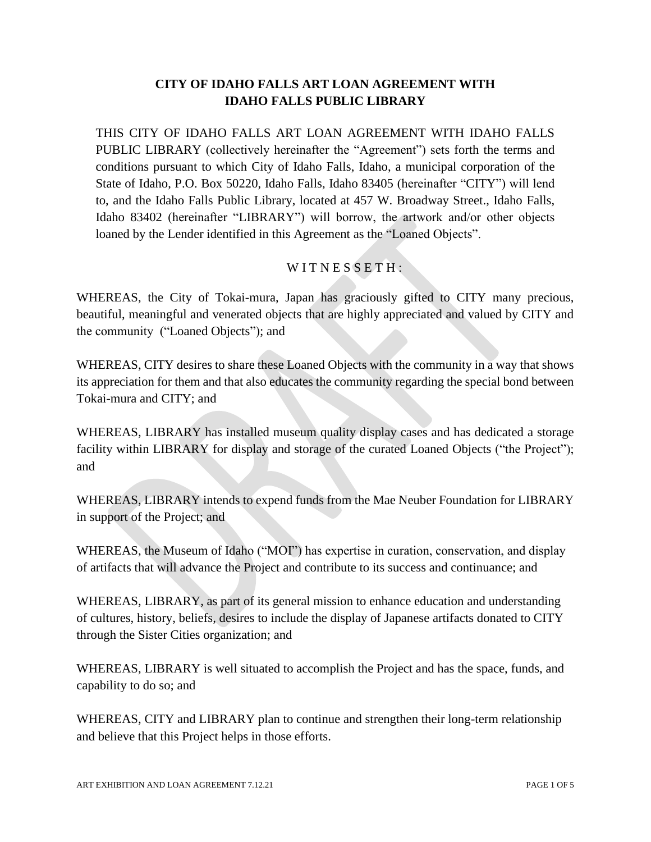## **CITY OF IDAHO FALLS ART LOAN AGREEMENT WITH IDAHO FALLS PUBLIC LIBRARY**

THIS CITY OF IDAHO FALLS ART LOAN AGREEMENT WITH IDAHO FALLS PUBLIC LIBRARY (collectively hereinafter the "Agreement") sets forth the terms and conditions pursuant to which City of Idaho Falls, Idaho, a municipal corporation of the State of Idaho, P.O. Box 50220, Idaho Falls, Idaho 83405 (hereinafter "CITY") will lend to, and the Idaho Falls Public Library, located at 457 W. Broadway Street., Idaho Falls, Idaho 83402 (hereinafter "LIBRARY") will borrow, the artwork and/or other objects loaned by the Lender identified in this Agreement as the "Loaned Objects".

## $W$ I T N E S S E T H :

WHEREAS, the City of Tokai-mura, Japan has graciously gifted to CITY many precious, beautiful, meaningful and venerated objects that are highly appreciated and valued by CITY and the community ("Loaned Objects"); and

WHEREAS, CITY desires to share these Loaned Objects with the community in a way that shows its appreciation for them and that also educates the community regarding the special bond between Tokai-mura and CITY; and

WHEREAS, LIBRARY has installed museum quality display cases and has dedicated a storage facility within LIBRARY for display and storage of the curated Loaned Objects ("the Project"); and

WHEREAS, LIBRARY intends to expend funds from the Mae Neuber Foundation for LIBRARY in support of the Project; and

WHEREAS, the Museum of Idaho ("MOI") has expertise in curation, conservation, and display of artifacts that will advance the Project and contribute to its success and continuance; and

WHEREAS, LIBRARY, as part of its general mission to enhance education and understanding of cultures, history, beliefs, desires to include the display of Japanese artifacts donated to CITY through the Sister Cities organization; and

WHEREAS, LIBRARY is well situated to accomplish the Project and has the space, funds, and capability to do so; and

WHEREAS, CITY and LIBRARY plan to continue and strengthen their long-term relationship and believe that this Project helps in those efforts.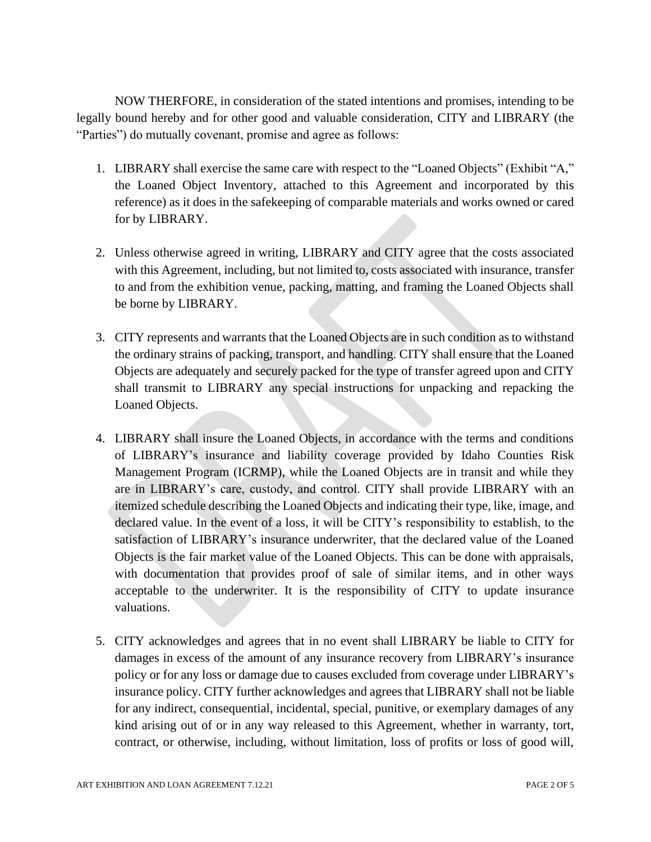NOW THERFORE, in consideration of the stated intentions and promises, intending to be legally bound hereby and for other good and valuable consideration, CITY and LIBRARY (the "Parties") do mutually covenant, promise and agree as follows:

- 1. LIBRARY shall exercise the same care with respect to the "Loaned Objects" (Exhibit "A," the Loaned Object Inventory, attached to this Agreement and incorporated by this reference) as it does in the safekeeping of comparable materials and works owned or cared for by LIBRARY.
- 2. Unless otherwise agreed in writing, LIBRARY and CITY agree that the costs associated with this Agreement, including, but not limited to, costs associated with insurance, transfer to and from the exhibition venue, packing, matting, and framing the Loaned Objects shall be borne by LIBRARY.
- 3. CITY represents and warrants that the Loaned Objects are in such condition as to withstand the ordinary strains of packing, transport, and handling. CITY shall ensure that the Loaned Objects are adequately and securely packed for the type of transfer agreed upon and CITY shall transmit to LIBRARY any special instructions for unpacking and repacking the Loaned Objects.
- 4. LIBRARY shall insure the Loaned Objects, in accordance with the terms and conditions of LIBRARY's insurance and liability coverage provided by Idaho Counties Risk Management Program (ICRMP), while the Loaned Objects are in transit and while they are in LIBRARY's care, custody, and control. CITY shall provide LIBRARY with an itemized schedule describing the Loaned Objects and indicating their type, like, image, and declared value. In the event of a loss, it will be CITY's responsibility to establish, to the satisfaction of LIBRARY's insurance underwriter, that the declared value of the Loaned Objects is the fair market value of the Loaned Objects. This can be done with appraisals, with documentation that provides proof of sale of similar items, and in other ways acceptable to the underwriter. It is the responsibility of CITY to update insurance valuations.
- 5. CITY acknowledges and agrees that in no event shall LIBRARY be liable to CITY for damages in excess of the amount of any insurance recovery from LIBRARY's insurance policy or for any loss or damage due to causes excluded from coverage under LIBRARY's insurance policy. CITY further acknowledges and agrees that LIBRARY shall not be liable for any indirect, consequential, incidental, special, punitive, or exemplary damages of any kind arising out of or in any way released to this Agreement, whether in warranty, tort, contract, or otherwise, including, without limitation, loss of profits or loss of good will,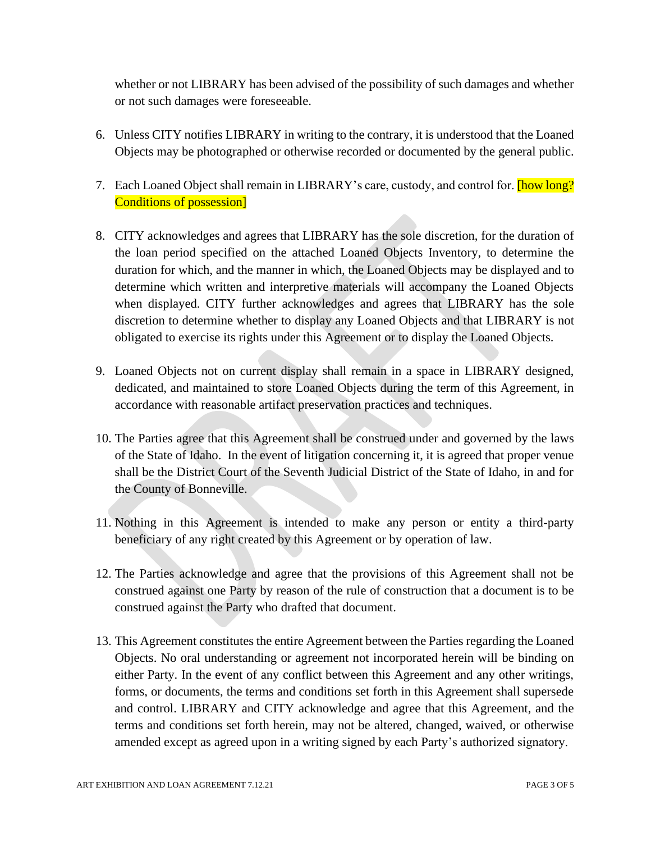whether or not LIBRARY has been advised of the possibility of such damages and whether or not such damages were foreseeable.

- 6. Unless CITY notifies LIBRARY in writing to the contrary, it is understood that the Loaned Objects may be photographed or otherwise recorded or documented by the general public.
- 7. Each Loaned Object shall remain in LIBRARY's care, custody, and control for. **[how long?** Conditions of possession]
- 8. CITY acknowledges and agrees that LIBRARY has the sole discretion, for the duration of the loan period specified on the attached Loaned Objects Inventory, to determine the duration for which, and the manner in which, the Loaned Objects may be displayed and to determine which written and interpretive materials will accompany the Loaned Objects when displayed. CITY further acknowledges and agrees that LIBRARY has the sole discretion to determine whether to display any Loaned Objects and that LIBRARY is not obligated to exercise its rights under this Agreement or to display the Loaned Objects.
- 9. Loaned Objects not on current display shall remain in a space in LIBRARY designed, dedicated, and maintained to store Loaned Objects during the term of this Agreement, in accordance with reasonable artifact preservation practices and techniques.
- 10. The Parties agree that this Agreement shall be construed under and governed by the laws of the State of Idaho. In the event of litigation concerning it, it is agreed that proper venue shall be the District Court of the Seventh Judicial District of the State of Idaho, in and for the County of Bonneville.
- 11. Nothing in this Agreement is intended to make any person or entity a third-party beneficiary of any right created by this Agreement or by operation of law.
- 12. The Parties acknowledge and agree that the provisions of this Agreement shall not be construed against one Party by reason of the rule of construction that a document is to be construed against the Party who drafted that document.
- 13. This Agreement constitutes the entire Agreement between the Parties regarding the Loaned Objects. No oral understanding or agreement not incorporated herein will be binding on either Party. In the event of any conflict between this Agreement and any other writings, forms, or documents, the terms and conditions set forth in this Agreement shall supersede and control. LIBRARY and CITY acknowledge and agree that this Agreement, and the terms and conditions set forth herein, may not be altered, changed, waived, or otherwise amended except as agreed upon in a writing signed by each Party's authorized signatory.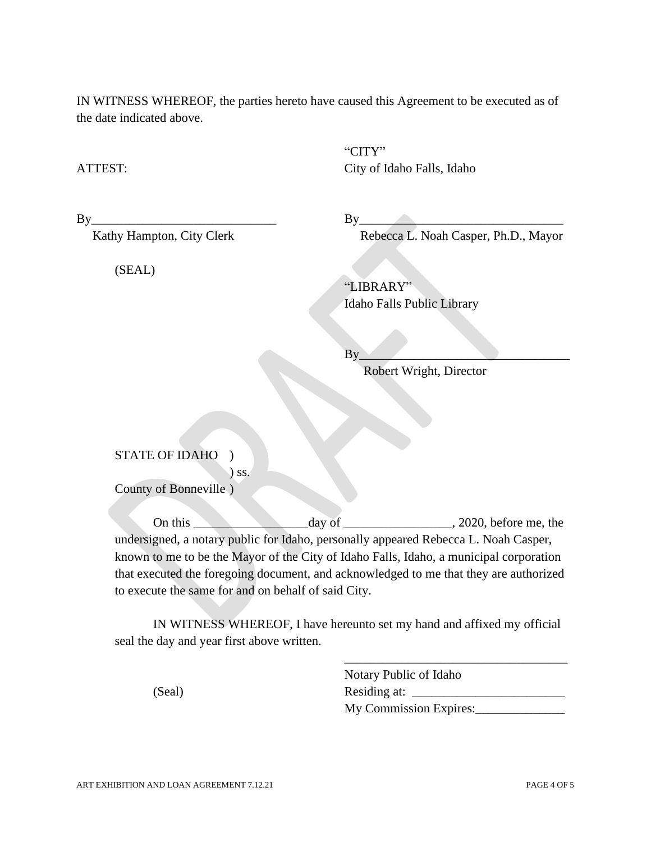IN WITNESS WHEREOF, the parties hereto have caused this Agreement to be executed as of the date indicated above.

"CITY" ATTEST: City of Idaho Falls, Idaho

(SEAL)

 $By \fbox{array}$ 

Kathy Hampton, City Clerk Rebecca L. Noah Casper, Ph.D., Mayor

"LIBRARY" Idaho Falls Public Library

 $\mathbf{By}$ 

Robert Wright, Director

STATE OF IDAHO )

) ss. County of Bonneville )

On this day of 2020, before me, the undersigned, a notary public for Idaho, personally appeared Rebecca L. Noah Casper, known to me to be the Mayor of the City of Idaho Falls, Idaho, a municipal corporation that executed the foregoing document, and acknowledged to me that they are authorized to execute the same for and on behalf of said City.

IN WITNESS WHEREOF, I have hereunto set my hand and affixed my official seal the day and year first above written.

Notary Public of Idaho (Seal) Residing at: My Commission Expires:

\_\_\_\_\_\_\_\_\_\_\_\_\_\_\_\_\_\_\_\_\_\_\_\_\_\_\_\_\_\_\_\_\_\_\_